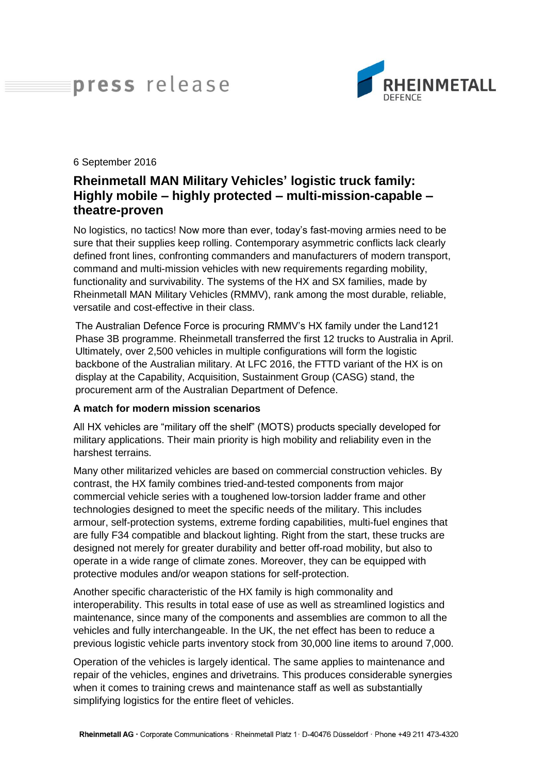# press release



#### 6 September 2016

# **Rheinmetall MAN Military Vehicles' logistic truck family: Highly mobile – highly protected – multi-mission-capable – theatre-proven**

No logistics, no tactics! Now more than ever, today's fast-moving armies need to be sure that their supplies keep rolling. Contemporary asymmetric conflicts lack clearly defined front lines, confronting commanders and manufacturers of modern transport, command and multi-mission vehicles with new requirements regarding mobility, functionality and survivability. The systems of the HX and SX families, made by Rheinmetall MAN Military Vehicles (RMMV), rank among the most durable, reliable, versatile and cost-effective in their class.

The Australian Defence Force is procuring RMMV's HX family under the Land121 Phase 3B programme. Rheinmetall transferred the first 12 trucks to Australia in April. Ultimately, over 2,500 vehicles in multiple configurations will form the logistic backbone of the Australian military. At LFC 2016, the FTTD variant of the HX is on display at the Capability, Acquisition, Sustainment Group (CASG) stand, the procurement arm of the Australian Department of Defence.

#### **A match for modern mission scenarios**

All HX vehicles are "military off the shelf" (MOTS) products specially developed for military applications. Their main priority is high mobility and reliability even in the harshest terrains.

Many other militarized vehicles are based on commercial construction vehicles. By contrast, the HX family combines tried-and-tested components from major commercial vehicle series with a toughened low-torsion ladder frame and other technologies designed to meet the specific needs of the military. This includes armour, self-protection systems, extreme fording capabilities, multi-fuel engines that are fully F34 compatible and blackout lighting. Right from the start, these trucks are designed not merely for greater durability and better off-road mobility, but also to operate in a wide range of climate zones. Moreover, they can be equipped with protective modules and/or weapon stations for self-protection.

Another specific characteristic of the HX family is high commonality and interoperability. This results in total ease of use as well as streamlined logistics and maintenance, since many of the components and assemblies are common to all the vehicles and fully interchangeable. In the UK, the net effect has been to reduce a previous logistic vehicle parts inventory stock from 30,000 line items to around 7,000.

Operation of the vehicles is largely identical. The same applies to maintenance and repair of the vehicles, engines and drivetrains. This produces considerable synergies when it comes to training crews and maintenance staff as well as substantially simplifying logistics for the entire fleet of vehicles.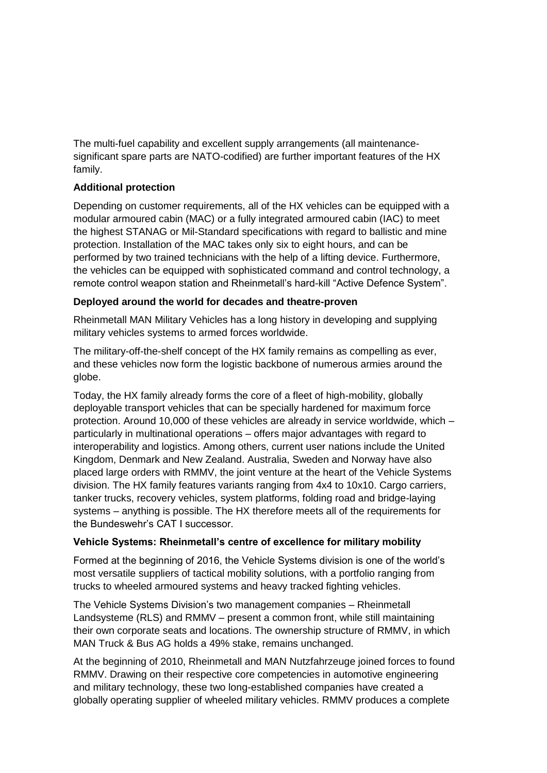The multi-fuel capability and excellent supply arrangements (all maintenancesignificant spare parts are NATO-codified) are further important features of the HX family.

## **Additional protection**

Depending on customer requirements, all of the HX vehicles can be equipped with a modular armoured cabin (MAC) or a fully integrated armoured cabin (IAC) to meet the highest STANAG or Mil-Standard specifications with regard to ballistic and mine protection. Installation of the MAC takes only six to eight hours, and can be performed by two trained technicians with the help of a lifting device. Furthermore, the vehicles can be equipped with sophisticated command and control technology, a remote control weapon station and Rheinmetall's hard-kill "Active Defence System".

## **Deployed around the world for decades and theatre-proven**

Rheinmetall MAN Military Vehicles has a long history in developing and supplying military vehicles systems to armed forces worldwide.

The military-off-the-shelf concept of the HX family remains as compelling as ever, and these vehicles now form the logistic backbone of numerous armies around the globe.

Today, the HX family already forms the core of a fleet of high-mobility, globally deployable transport vehicles that can be specially hardened for maximum force protection. Around 10,000 of these vehicles are already in service worldwide, which – particularly in multinational operations – offers major advantages with regard to interoperability and logistics. Among others, current user nations include the United Kingdom, Denmark and New Zealand. Australia, Sweden and Norway have also placed large orders with RMMV, the joint venture at the heart of the Vehicle Systems division. The HX family features variants ranging from 4x4 to 10x10. Cargo carriers, tanker trucks, recovery vehicles, system platforms, folding road and bridge-laying systems – anything is possible. The HX therefore meets all of the requirements for the Bundeswehr's CAT I successor.

# **Vehicle Systems: Rheinmetall's centre of excellence for military mobility**

Formed at the beginning of 2016, the Vehicle Systems division is one of the world's most versatile suppliers of tactical mobility solutions, with a portfolio ranging from trucks to wheeled armoured systems and heavy tracked fighting vehicles.

The Vehicle Systems Division's two management companies – Rheinmetall Landsysteme (RLS) and RMMV – present a common front, while still maintaining their own corporate seats and locations. The ownership structure of RMMV, in which MAN Truck & Bus AG holds a 49% stake, remains unchanged.

At the beginning of 2010, Rheinmetall and MAN Nutzfahrzeuge joined forces to found RMMV. Drawing on their respective core competencies in automotive engineering and military technology, these two long-established companies have created a globally operating supplier of wheeled military vehicles. RMMV produces a complete